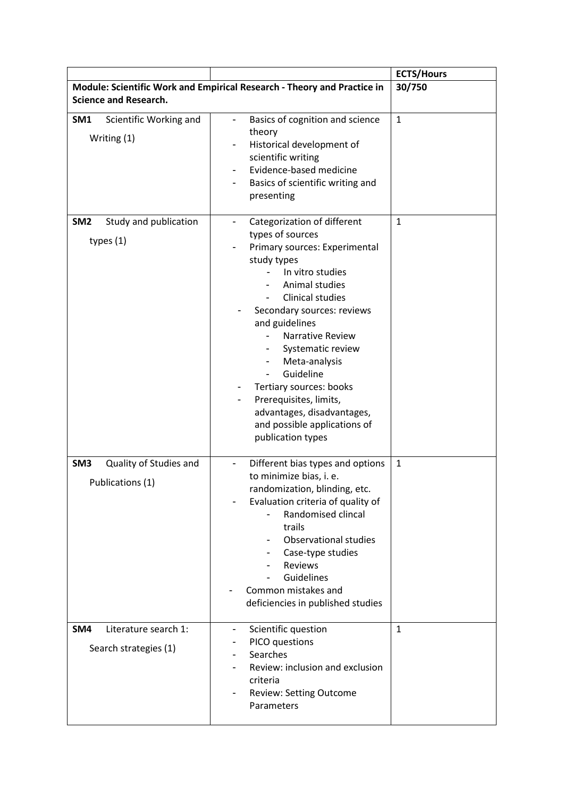|                                                               |                                                                                                                                                                                                                                                                                                                                                                                                                                      | <b>ECTS/Hours</b> |
|---------------------------------------------------------------|--------------------------------------------------------------------------------------------------------------------------------------------------------------------------------------------------------------------------------------------------------------------------------------------------------------------------------------------------------------------------------------------------------------------------------------|-------------------|
|                                                               | Module: Scientific Work and Empirical Research - Theory and Practice in                                                                                                                                                                                                                                                                                                                                                              | 30/750            |
| <b>Science and Research.</b>                                  |                                                                                                                                                                                                                                                                                                                                                                                                                                      |                   |
| SM1<br>Scientific Working and<br>Writing (1)                  | Basics of cognition and science<br>theory<br>Historical development of<br>scientific writing<br>Evidence-based medicine<br>-<br>Basics of scientific writing and<br>-<br>presenting                                                                                                                                                                                                                                                  | $\mathbf 1$       |
| Study and publication<br>SM <sub>2</sub><br>types $(1)$       | Categorization of different<br>-<br>types of sources<br>Primary sources: Experimental<br>study types<br>In vitro studies<br>Animal studies<br><b>Clinical studies</b><br>Secondary sources: reviews<br>and guidelines<br>Narrative Review<br>Systematic review<br>Meta-analysis<br>Guideline<br>Tertiary sources: books<br>Prerequisites, limits,<br>advantages, disadvantages,<br>and possible applications of<br>publication types | $\mathbf{1}$      |
| Quality of Studies and<br>SM <sub>3</sub><br>Publications (1) | Different bias types and options<br>to minimize bias, i. e.<br>randomization, blinding, etc.<br>Evaluation criteria of quality of<br>Randomised clincal<br>trails<br><b>Observational studies</b><br>Case-type studies<br><b>Reviews</b><br>Guidelines<br>Common mistakes and<br>deficiencies in published studies                                                                                                                   | $\mathbf{1}$      |
| SM4<br>Literature search 1:<br>Search strategies (1)          | Scientific question<br>-<br>PICO questions<br>Searches<br>Review: inclusion and exclusion<br>criteria<br><b>Review: Setting Outcome</b><br>Parameters                                                                                                                                                                                                                                                                                | $\mathbf{1}$      |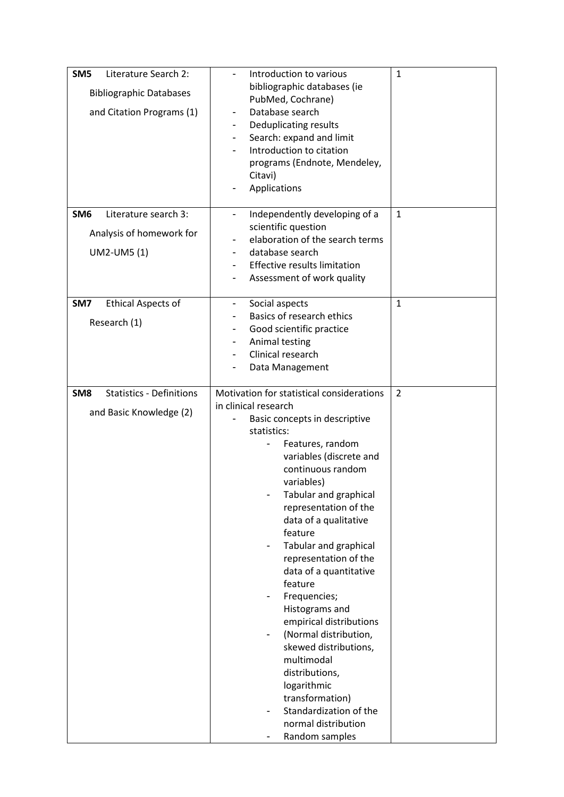| Literature Search 2:<br>SM <sub>5</sub><br><b>Bibliographic Databases</b><br>and Citation Programs (1) | Introduction to various<br>bibliographic databases (ie<br>PubMed, Cochrane)<br>Database search<br>-<br>Deduplicating results<br>$\blacksquare$<br>Search: expand and limit<br>$\blacksquare$<br>Introduction to citation<br>programs (Endnote, Mendeley,<br>Citavi)<br>Applications                                                                                                                                                                                                                                                                                                                                                  | 1              |
|--------------------------------------------------------------------------------------------------------|--------------------------------------------------------------------------------------------------------------------------------------------------------------------------------------------------------------------------------------------------------------------------------------------------------------------------------------------------------------------------------------------------------------------------------------------------------------------------------------------------------------------------------------------------------------------------------------------------------------------------------------|----------------|
| Literature search 3:<br>SM <sub>6</sub><br>Analysis of homework for<br>UM2-UM5 (1)                     | Independently developing of a<br>$\overline{\phantom{a}}$<br>scientific question<br>elaboration of the search terms<br>$\overline{\phantom{a}}$<br>database search<br><b>Effective results limitation</b><br>Assessment of work quality                                                                                                                                                                                                                                                                                                                                                                                              | $\mathbf{1}$   |
| <b>Ethical Aspects of</b><br>SM7<br>Research (1)                                                       | Social aspects<br>$\overline{\phantom{a}}$<br>Basics of research ethics<br>Good scientific practice<br>$\overline{\phantom{a}}$<br>Animal testing<br>$\blacksquare$<br>Clinical research<br>Data Management                                                                                                                                                                                                                                                                                                                                                                                                                          | $\mathbf{1}$   |
| <b>Statistics - Definitions</b><br>SM <sub>8</sub><br>and Basic Knowledge (2)                          | Motivation for statistical considerations<br>in clinical research<br>Basic concepts in descriptive<br>statistics:<br>Features, random<br>variables (discrete and<br>continuous random<br>variables)<br>Tabular and graphical<br>representation of the<br>data of a qualitative<br>feature<br>Tabular and graphical<br>representation of the<br>data of a quantitative<br>feature<br>Frequencies;<br>Histograms and<br>empirical distributions<br>(Normal distribution,<br>skewed distributions,<br>multimodal<br>distributions,<br>logarithmic<br>transformation)<br>Standardization of the<br>normal distribution<br>Random samples | $\overline{2}$ |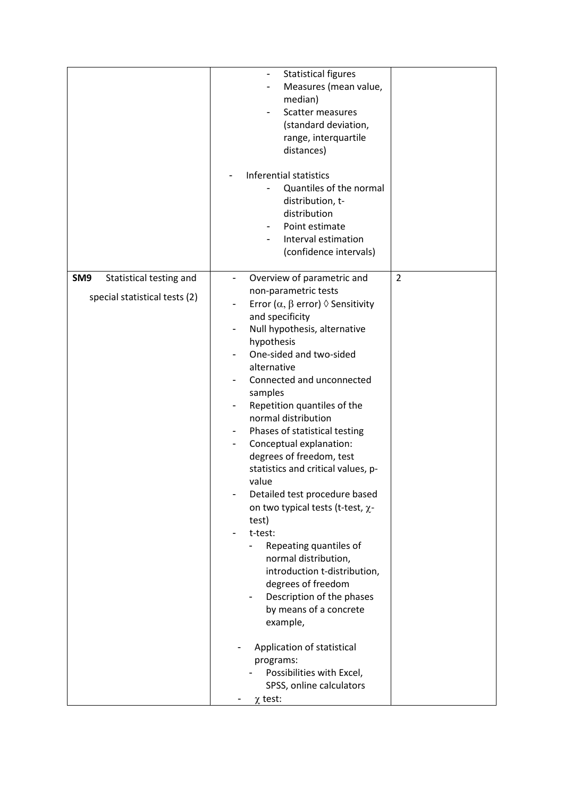|                                                                             | <b>Statistical figures</b><br>Measures (mean value,<br>median)<br>Scatter measures<br>(standard deviation,<br>range, interquartile<br>distances)<br>Inferential statistics<br>Quantiles of the normal<br>distribution, t-<br>distribution<br>Point estimate<br>Interval estimation<br>(confidence intervals)                                                                                                                                                                                                                                                                                                                                                                                                                                                                                                                                                                                                              |                |
|-----------------------------------------------------------------------------|---------------------------------------------------------------------------------------------------------------------------------------------------------------------------------------------------------------------------------------------------------------------------------------------------------------------------------------------------------------------------------------------------------------------------------------------------------------------------------------------------------------------------------------------------------------------------------------------------------------------------------------------------------------------------------------------------------------------------------------------------------------------------------------------------------------------------------------------------------------------------------------------------------------------------|----------------|
| Statistical testing and<br>SM <sub>9</sub><br>special statistical tests (2) | Overview of parametric and<br>$\overline{\phantom{0}}$<br>non-parametric tests<br>Error ( $\alpha$ , $\beta$ error) $\Diamond$ Sensitivity<br>and specificity<br>Null hypothesis, alternative<br>-<br>hypothesis<br>One-sided and two-sided<br>alternative<br>Connected and unconnected<br>samples<br>Repetition quantiles of the<br>normal distribution<br>Phases of statistical testing<br>$\overline{\phantom{a}}$<br>Conceptual explanation:<br>degrees of freedom, test<br>statistics and critical values, p-<br>value<br>Detailed test procedure based<br>on two typical tests (t-test, $\chi$ -<br>test)<br>t-test:<br>Repeating quantiles of<br>normal distribution,<br>introduction t-distribution,<br>degrees of freedom<br>Description of the phases<br>by means of a concrete<br>example,<br>Application of statistical<br>programs:<br>Possibilities with Excel,<br>SPSS, online calculators<br>$\chi$ test: | $\overline{2}$ |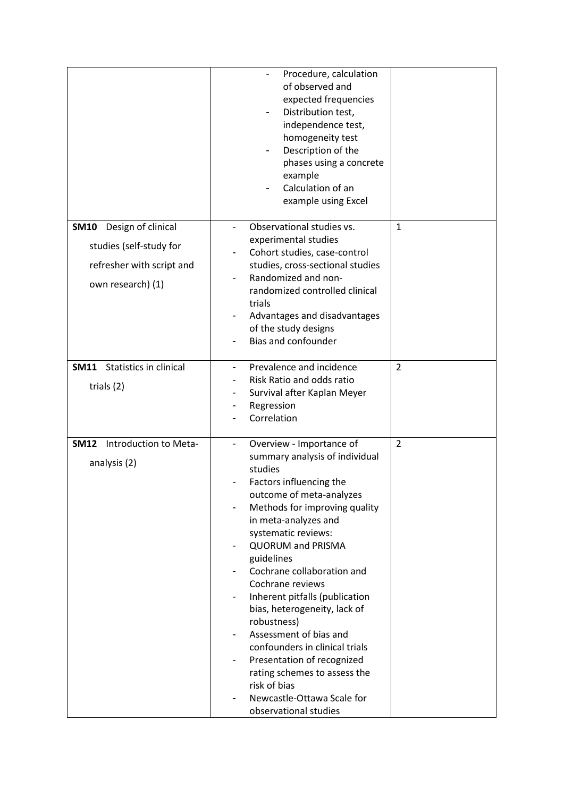|                                                                                                                | Procedure, calculation<br>of observed and<br>expected frequencies<br>Distribution test,<br>independence test,<br>homogeneity test<br>Description of the<br>phases using a concrete<br>example<br>Calculation of an<br>example using Excel                                                                                                                                                                                                                                                                                                                                                            |                |
|----------------------------------------------------------------------------------------------------------------|------------------------------------------------------------------------------------------------------------------------------------------------------------------------------------------------------------------------------------------------------------------------------------------------------------------------------------------------------------------------------------------------------------------------------------------------------------------------------------------------------------------------------------------------------------------------------------------------------|----------------|
| Design of clinical<br><b>SM10</b><br>studies (self-study for<br>refresher with script and<br>own research) (1) | Observational studies vs.<br>experimental studies<br>Cohort studies, case-control<br>studies, cross-sectional studies<br>Randomized and non-<br>randomized controlled clinical<br>trials<br>Advantages and disadvantages<br>of the study designs<br>Bias and confounder                                                                                                                                                                                                                                                                                                                              | $\mathbf{1}$   |
| <b>SM11</b> Statistics in clinical<br>trials (2)                                                               | Prevalence and incidence<br>Risk Ratio and odds ratio<br>Survival after Kaplan Meyer<br>Regression<br>Correlation                                                                                                                                                                                                                                                                                                                                                                                                                                                                                    | $\overline{2}$ |
| Introduction to Meta-<br><b>SM12</b><br>analysis (2)                                                           | Overview - Importance of<br>summary analysis of individual<br>studies<br>Factors influencing the<br>outcome of meta-analyzes<br>Methods for improving quality<br>in meta-analyzes and<br>systematic reviews:<br><b>QUORUM and PRISMA</b><br>-<br>guidelines<br>Cochrane collaboration and<br>Cochrane reviews<br>Inherent pitfalls (publication<br>-<br>bias, heterogeneity, lack of<br>robustness)<br>Assessment of bias and<br>confounders in clinical trials<br>Presentation of recognized<br>rating schemes to assess the<br>risk of bias<br>Newcastle-Ottawa Scale for<br>observational studies | $\overline{2}$ |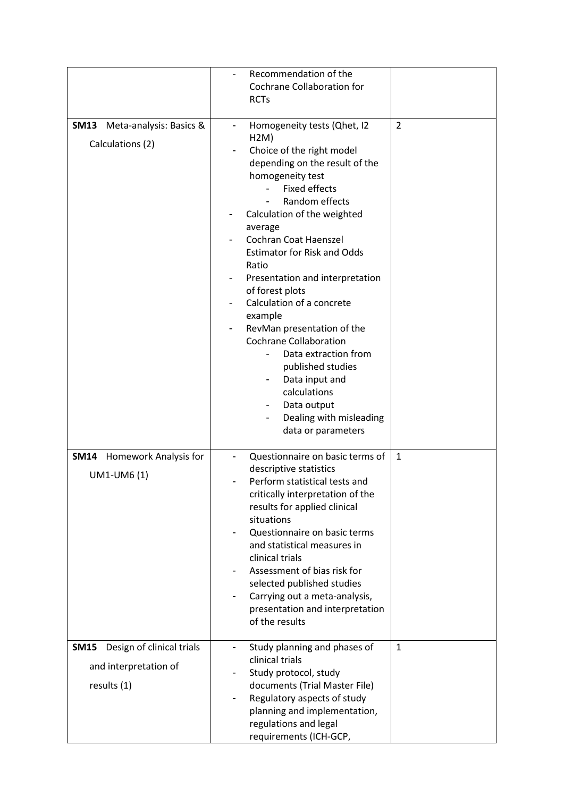|                                                                                  | Recommendation of the<br>Cochrane Collaboration for<br><b>RCTs</b>                                                                                                                                                                                                                                                                                                                                                                                                                                                                                                                                                             |                |
|----------------------------------------------------------------------------------|--------------------------------------------------------------------------------------------------------------------------------------------------------------------------------------------------------------------------------------------------------------------------------------------------------------------------------------------------------------------------------------------------------------------------------------------------------------------------------------------------------------------------------------------------------------------------------------------------------------------------------|----------------|
| <b>SM13</b><br>Meta-analysis: Basics &<br>Calculations (2)                       | Homogeneity tests (Qhet, I2<br>$\qquad \qquad \blacksquare$<br>H2M)<br>Choice of the right model<br>depending on the result of the<br>homogeneity test<br><b>Fixed effects</b><br>Random effects<br>Calculation of the weighted<br>average<br>Cochran Coat Haenszel<br><b>Estimator for Risk and Odds</b><br>Ratio<br>Presentation and interpretation<br>of forest plots<br>Calculation of a concrete<br>example<br>RevMan presentation of the<br><b>Cochrane Collaboration</b><br>Data extraction from<br>published studies<br>Data input and<br>calculations<br>Data output<br>Dealing with misleading<br>data or parameters | $\overline{2}$ |
| <b>SM14</b><br><b>Homework Analysis for</b><br>UM1-UM6 (1)                       | Questionnaire on basic terms of<br>descriptive statistics<br>Perform statistical tests and<br>critically interpretation of the<br>results for applied clinical<br>situations<br>Questionnaire on basic terms<br>and statistical measures in<br>clinical trials<br>Assessment of bias risk for<br>selected published studies<br>Carrying out a meta-analysis,<br>$\blacksquare$<br>presentation and interpretation<br>of the results                                                                                                                                                                                            | $\mathbf{1}$   |
| Design of clinical trials<br><b>SM15</b><br>and interpretation of<br>results (1) | Study planning and phases of<br>$\overline{\phantom{0}}$<br>clinical trials<br>Study protocol, study<br>documents (Trial Master File)<br>Regulatory aspects of study<br>planning and implementation,<br>regulations and legal<br>requirements (ICH-GCP,                                                                                                                                                                                                                                                                                                                                                                        | $\mathbf{1}$   |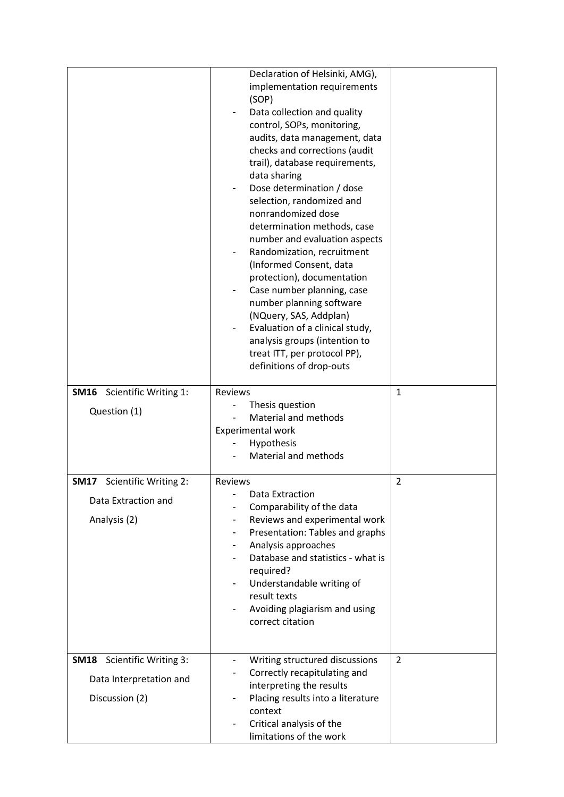| <b>SM16</b> Scientific Writing 1:                                              | Declaration of Helsinki, AMG),<br>implementation requirements<br>(SOP)<br>Data collection and quality<br>control, SOPs, monitoring,<br>audits, data management, data<br>checks and corrections (audit<br>trail), database requirements,<br>data sharing<br>Dose determination / dose<br>selection, randomized and<br>nonrandomized dose<br>determination methods, case<br>number and evaluation aspects<br>Randomization, recruitment<br>(Informed Consent, data<br>protection), documentation<br>Case number planning, case<br>number planning software<br>(NQuery, SAS, Addplan)<br>Evaluation of a clinical study,<br>analysis groups (intention to<br>treat ITT, per protocol PP),<br>definitions of drop-outs<br>Reviews | $\mathbf{1}$   |
|--------------------------------------------------------------------------------|-------------------------------------------------------------------------------------------------------------------------------------------------------------------------------------------------------------------------------------------------------------------------------------------------------------------------------------------------------------------------------------------------------------------------------------------------------------------------------------------------------------------------------------------------------------------------------------------------------------------------------------------------------------------------------------------------------------------------------|----------------|
| Question (1)                                                                   | Thesis question<br>Material and methods<br>Experimental work<br>Hypothesis<br>Material and methods                                                                                                                                                                                                                                                                                                                                                                                                                                                                                                                                                                                                                            |                |
| Scientific Writing 2:<br><b>SM17</b><br>Data Extraction and<br>Analysis (2)    | Reviews<br>Data Extraction<br>Comparability of the data<br>Reviews and experimental work<br>Presentation: Tables and graphs<br>Analysis approaches<br>-<br>Database and statistics - what is<br>required?<br>Understandable writing of<br>-<br>result texts<br>Avoiding plagiarism and using<br>correct citation                                                                                                                                                                                                                                                                                                                                                                                                              | $\overline{2}$ |
| <b>SM18</b> Scientific Writing 3:<br>Data Interpretation and<br>Discussion (2) | Writing structured discussions<br>-<br>Correctly recapitulating and<br>interpreting the results<br>Placing results into a literature<br>-<br>context<br>Critical analysis of the<br>limitations of the work                                                                                                                                                                                                                                                                                                                                                                                                                                                                                                                   | 2              |